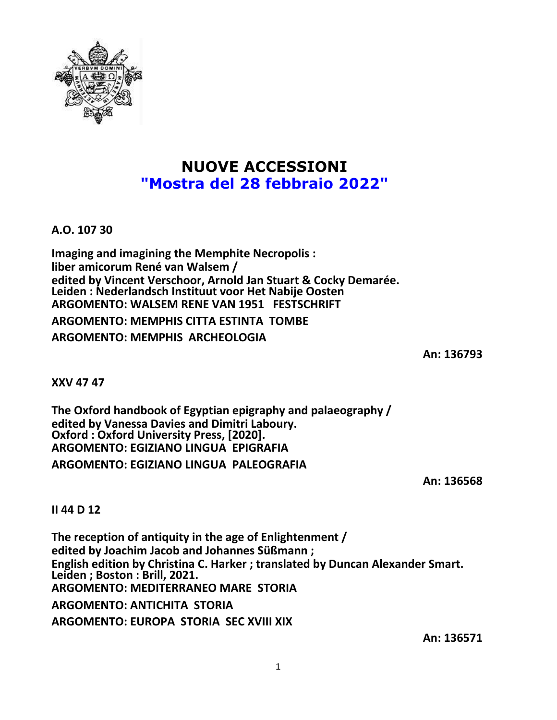

## **NUOVE ACCESSIONI "Mostra del 28 febbraio 2022"**

**A.O. 107 30**

**Imaging and imagining the Memphite Necropolis : liber amicorum René van Walsem / edited by Vincent Verschoor, Arnold Jan Stuart & Cocky Demarée. Leiden : Nederlandsch Instituut voor Het Nabije Oosten ARGOMENTO: WALSEM RENE VAN 1951 FESTSCHRIFT ARGOMENTO: MEMPHIS CITTA ESTINTA TOMBE ARGOMENTO: MEMPHIS ARCHEOLOGIA**

**An: 136793**

**XXV 47 47**

**The Oxford handbook of Egyptian epigraphy and palaeography / edited by Vanessa Davies and Dimitri Laboury. Oxford : Oxford University Press, [2020]. ARGOMENTO: EGIZIANO LINGUA EPIGRAFIA ARGOMENTO: EGIZIANO LINGUA PALEOGRAFIA**

**An: 136568**

**II 44 D 12**

**The reception of antiquity in the age of Enlightenment / edited by Joachim Jacob and Johannes Süßmann ; English edition by Christina C. Harker ; translated by Duncan Alexander Smart. Leiden ; Boston : Brill, 2021. ARGOMENTO: MEDITERRANEO MARE STORIA ARGOMENTO: ANTICHITA STORIA ARGOMENTO: EUROPA STORIA SEC XVIII XIX**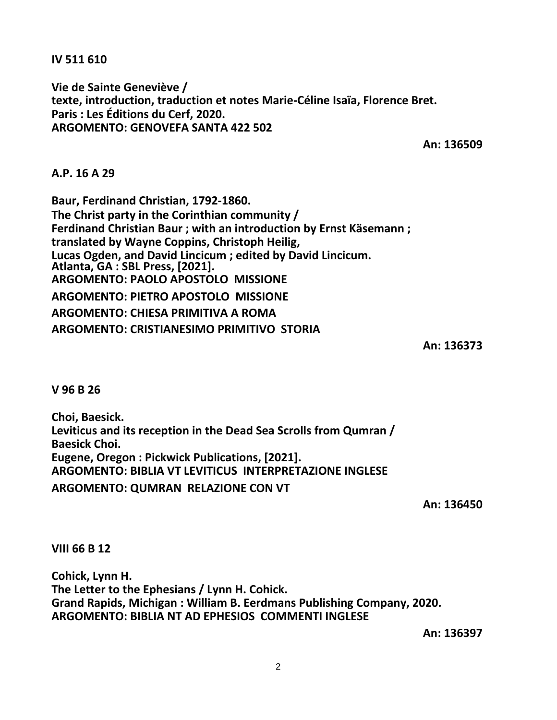**IV 511 610**

**Vie de Sainte Geneviève / texte, introduction, traduction et notes Marie-Céline Isaïa, Florence Bret. Paris : Les Éditions du Cerf, 2020. ARGOMENTO: GENOVEFA SANTA 422 502**

**An: 136509**

**A.P. 16 A 29**

**Baur, Ferdinand Christian, 1792-1860. The Christ party in the Corinthian community / Ferdinand Christian Baur ; with an introduction by Ernst Käsemann ; translated by Wayne Coppins, Christoph Heilig, Lucas Ogden, and David Lincicum ; edited by David Lincicum. Atlanta, GA : SBL Press, [2021]. ARGOMENTO: PAOLO APOSTOLO MISSIONE ARGOMENTO: PIETRO APOSTOLO MISSIONE ARGOMENTO: CHIESA PRIMITIVA A ROMA ARGOMENTO: CRISTIANESIMO PRIMITIVO STORIA**

**An: 136373**

**V 96 B 26**

**Choi, Baesick. Leviticus and its reception in the Dead Sea Scrolls from Qumran / Baesick Choi. Eugene, Oregon : Pickwick Publications, [2021]. ARGOMENTO: BIBLIA VT LEVITICUS INTERPRETAZIONE INGLESE ARGOMENTO: QUMRAN RELAZIONE CON VT**

**An: 136450**

**VIII 66 B 12**

**Cohick, Lynn H. The Letter to the Ephesians / Lynn H. Cohick. Grand Rapids, Michigan : William B. Eerdmans Publishing Company, 2020. ARGOMENTO: BIBLIA NT AD EPHESIOS COMMENTI INGLESE**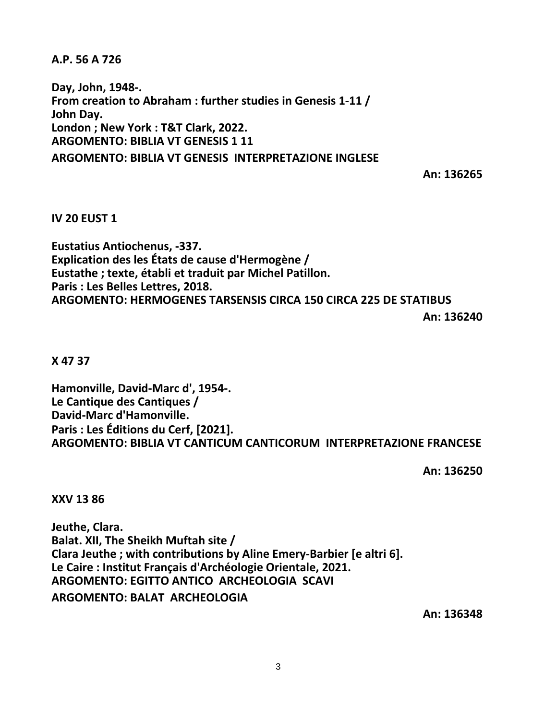**A.P. 56 A 726**

**Day, John, 1948-. From creation to Abraham : further studies in Genesis 1-11 / John Day. London ; New York : T&T Clark, 2022. ARGOMENTO: BIBLIA VT GENESIS 1 11 ARGOMENTO: BIBLIA VT GENESIS INTERPRETAZIONE INGLESE**

**An: 136265**

## **IV 20 EUST 1**

**Eustatius Antiochenus, -337. Explication des les États de cause d'Hermogène / Eustathe ; texte, établi et traduit par Michel Patillon. Paris : Les Belles Lettres, 2018. ARGOMENTO: HERMOGENES TARSENSIS CIRCA 150 CIRCA 225 DE STATIBUS**

**An: 136240**

## **X 47 37**

**Hamonville, David-Marc d', 1954-. Le Cantique des Cantiques / David-Marc d'Hamonville. Paris : Les Éditions du Cerf, [2021]. ARGOMENTO: BIBLIA VT CANTICUM CANTICORUM INTERPRETAZIONE FRANCESE**

**An: 136250**

**XXV 13 86**

**Jeuthe, Clara. Balat. XII, The Sheikh Muftah site / Clara Jeuthe ; with contributions by Aline Emery-Barbier [e altri 6]. Le Caire : Institut Français d'Archéologie Orientale, 2021. ARGOMENTO: EGITTO ANTICO ARCHEOLOGIA SCAVI**

**ARGOMENTO: BALAT ARCHEOLOGIA**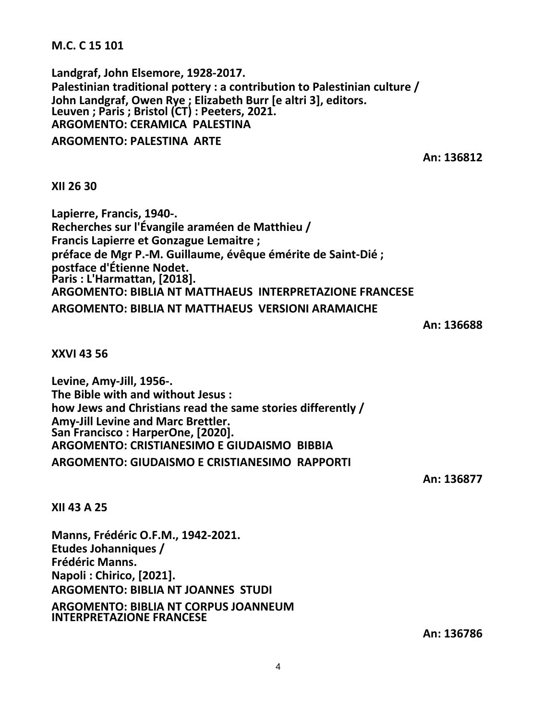**M.C. C 15 101**

**Landgraf, John Elsemore, 1928-2017. Palestinian traditional pottery : a contribution to Palestinian culture / John Landgraf, Owen Rye ; Elizabeth Burr [e altri 3], editors. Leuven ; Paris ; Bristol (CT) : Peeters, 2021. ARGOMENTO: CERAMICA PALESTINA ARGOMENTO: PALESTINA ARTE**

**An: 136812**

**XII 26 30**

**Lapierre, Francis, 1940-. Recherches sur l'Évangile araméen de Matthieu / Francis Lapierre et Gonzague Lemaitre ; préface de Mgr P.-M. Guillaume, évêque émérite de Saint-Dié ; postface d'Étienne Nodet. Paris : L'Harmattan, [2018]. ARGOMENTO: BIBLIA NT MATTHAEUS INTERPRETAZIONE FRANCESE ARGOMENTO: BIBLIA NT MATTHAEUS VERSIONI ARAMAICHE**

**An: 136688**

**XXVI 43 56**

**Levine, Amy-Jill, 1956-. The Bible with and without Jesus : how Jews and Christians read the same stories differently / Amy-Jill Levine and Marc Brettler. San Francisco : HarperOne, [2020]. ARGOMENTO: CRISTIANESIMO E GIUDAISMO BIBBIA ARGOMENTO: GIUDAISMO E CRISTIANESIMO RAPPORTI**

**An: 136877**

**XII 43 A 25**

**Manns, Frédéric O.F.M., 1942-2021. Etudes Johanniques / Frédéric Manns. Napoli : Chirico, [2021]. ARGOMENTO: BIBLIA NT JOANNES STUDI ARGOMENTO: BIBLIA NT CORPUS JOANNEUM INTERPRETAZIONE FRANCESE**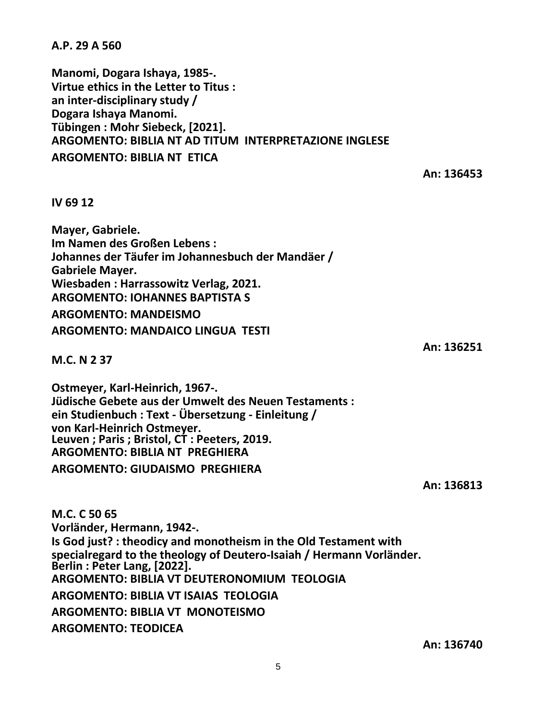5

**A.P. 29 A 560**

**Manomi, Dogara Ishaya, 1985-. Virtue ethics in the Letter to Titus : an inter-disciplinary study / Dogara Ishaya Manomi. Tübingen : Mohr Siebeck, [2021]. ARGOMENTO: BIBLIA NT AD TITUM INTERPRETAZIONE INGLESE ARGOMENTO: BIBLIA NT ETICA**

**IV 69 12**

**Mayer, Gabriele. Im Namen des Großen Lebens : Johannes der Täufer im Johannesbuch der Mandäer / Gabriele Mayer. Wiesbaden : Harrassowitz Verlag, 2021. ARGOMENTO: IOHANNES BAPTISTA S ARGOMENTO: MANDEISMO ARGOMENTO: MANDAICO LINGUA TESTI**

**M.C. N 2 37**

**Ostmeyer, Karl-Heinrich, 1967-. Jüdische Gebete aus der Umwelt des Neuen Testaments : ein Studienbuch : Text - Übersetzung - Einleitung / von Karl-Heinrich Ostmeyer. Leuven ; Paris ; Bristol, CT : Peeters, 2019. ARGOMENTO: BIBLIA NT PREGHIERA**

**ARGOMENTO: GIUDAISMO PREGHIERA**

**An: 136813**

**M.C. C 50 65 Vorländer, Hermann, 1942-. Is God just? : theodicy and monotheism in the Old Testament with specialregard to the theology of Deutero-Isaiah / Hermann Vorländer. Berlin : Peter Lang, [2022]. ARGOMENTO: BIBLIA VT DEUTERONOMIUM TEOLOGIA ARGOMENTO: BIBLIA VT ISAIAS TEOLOGIA ARGOMENTO: BIBLIA VT MONOTEISMO ARGOMENTO: TEODICEA**

**An: 136251**